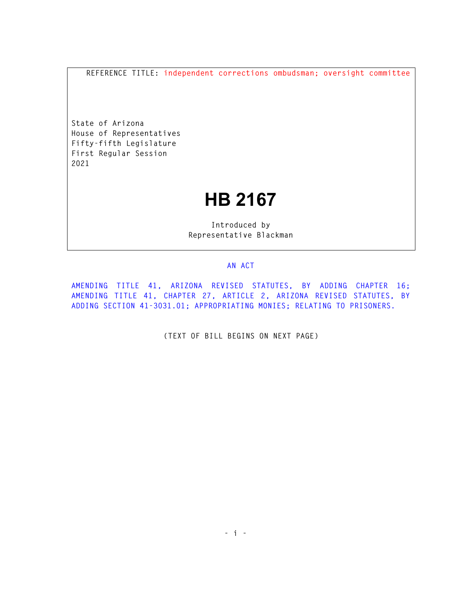**REFERENCE TITLE: independent corrections ombudsman; oversight committee** 

**State of Arizona House of Representatives Fifty-fifth Legislature First Regular Session 2021** 

## **HB 2167**

**Introduced by Representative Blackman** 

## **AN ACT**

**AMENDING TITLE 41, ARIZONA REVISED STATUTES, BY ADDING CHAPTER 16; AMENDING TITLE 41, CHAPTER 27, ARTICLE 2, ARIZONA REVISED STATUTES, BY ADDING SECTION 41-3031.01; APPROPRIATING MONIES; RELATING TO PRISONERS.** 

**(TEXT OF BILL BEGINS ON NEXT PAGE)**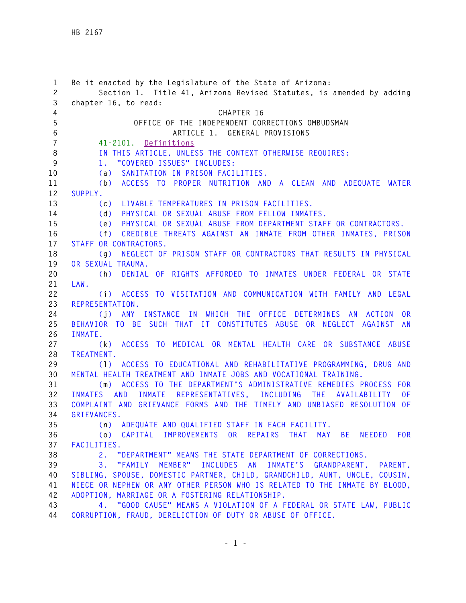| $\mathbf{1}$<br>$\mathbf{2}$ | Be it enacted by the Legislature of the State of Arizona:<br>Section 1. Title 41, Arizona Revised Statutes, is amended by adding |
|------------------------------|----------------------------------------------------------------------------------------------------------------------------------|
| 3                            | chapter 16, to read:                                                                                                             |
| 4                            | CHAPTER 16                                                                                                                       |
| 5                            | OFFICE OF THE INDEPENDENT CORRECTIONS OMBUDSMAN                                                                                  |
| 6                            | ARTICLE 1. GENERAL PROVISIONS                                                                                                    |
| $\overline{7}$               | 41-2101. Definitions                                                                                                             |
| 8                            | IN THIS ARTICLE, UNLESS THE CONTEXT OTHERWISE REQUIRES:                                                                          |
| 9                            | "COVERED ISSUES" INCLUDES:<br>1.                                                                                                 |
| 10                           | SANITATION IN PRISON FACILITIES.<br>(a)                                                                                          |
| 11                           | ACCESS TO PROPER NUTRITION AND A CLEAN AND ADEQUATE WATER<br>(b)                                                                 |
| 12                           | SUPPLY.                                                                                                                          |
| 13                           | LIVABLE TEMPERATURES IN PRISON FACILITIES.<br>(c)                                                                                |
| 14                           | PHYSICAL OR SEXUAL ABUSE FROM FELLOW INMATES.<br>(d)                                                                             |
| 15                           | PHYSICAL OR SEXUAL ABUSE FROM DEPARTMENT STAFF OR CONTRACTORS.<br>(e)                                                            |
| 16                           | CREDIBLE THREATS AGAINST AN INMATE FROM OTHER INMATES, PRISON<br>(f)                                                             |
| 17                           | STAFF OR CONTRACTORS.                                                                                                            |
| 18                           | NEGLECT OF PRISON STAFF OR CONTRACTORS THAT RESULTS IN PHYSICAL<br>(g)                                                           |
| 19                           | OR SEXUAL TRAUMA.                                                                                                                |
| 20                           | DENIAL OF RIGHTS AFFORDED TO INMATES UNDER FEDERAL OR STATE<br>(h)                                                               |
| 21<br>22                     | LAW.<br>(i) ACCESS TO VISITATION AND COMMUNICATION WITH FAMILY AND LEGAL                                                         |
| 23                           | REPRESENTATION.                                                                                                                  |
| 24                           | ANY INSTANCE IN WHICH THE OFFICE DETERMINES AN ACTION<br>0R<br>(i)                                                               |
| 25                           | BEHAVIOR TO BE SUCH THAT IT CONSTITUTES ABUSE OR NEGLECT AGAINST AN                                                              |
| 26                           | INMATE.                                                                                                                          |
| 27                           | ACCESS TO MEDICAL OR MENTAL HEALTH CARE OR SUBSTANCE ABUSE<br>(k)                                                                |
| 28                           | TREATMENT.                                                                                                                       |
| 29                           | ACCESS TO EDUCATIONAL AND REHABILITATIVE PROGRAMMING, DRUG AND<br>(1)                                                            |
| 30                           | MENTAL HEALTH TREATMENT AND INMATE JOBS AND VOCATIONAL TRAINING.                                                                 |
| 31                           | ACCESS TO THE DEPARTMENT'S ADMINISTRATIVE REMEDIES PROCESS FOR<br>(m)                                                            |
| 32                           | INMATE REPRESENTATIVES, INCLUDING THE AVAILABILITY<br>AND<br><b>INMATES</b><br>0F                                                |
| 33                           | COMPLAINT AND GRIEVANCE FORMS AND THE TIMELY AND UNBIASED RESOLUTION OF                                                          |
| 34                           | GRIEVANCES.                                                                                                                      |
| 35                           | (n) ADEQUATE AND QUALIFIED STAFF IN EACH FACILITY.                                                                               |
| 36                           | (o) CAPITAL IMPROVEMENTS OR REPAIRS THAT<br>MAY BE<br>NEEDED FOR                                                                 |
| 37                           | FACILITIES.                                                                                                                      |
| 38                           | "DEPARTMENT" MEANS THE STATE DEPARTMENT OF CORRECTIONS.<br>2.                                                                    |
| 39                           | "FAMILY MEMBER" INCLUDES AN<br>INMATE'S GRANDPARENT, PARENT,<br>3.                                                               |
| 40                           | SIBLING, SPOUSE, DOMESTIC PARTNER, CHILD, GRANDCHILD, AUNT, UNCLE, COUSIN,                                                       |
| 41                           | NIECE OR NEPHEW OR ANY OTHER PERSON WHO IS RELATED TO THE INMATE BY BLOOD,                                                       |
| 42                           | ADOPTION, MARRIAGE OR A FOSTERING RELATIONSHIP.                                                                                  |
| 43                           | 4. "GOOD CAUSE" MEANS A VIOLATION OF A FEDERAL OR STATE LAW, PUBLIC                                                              |
| 44                           | CORRUPTION, FRAUD, DERELICTION OF DUTY OR ABUSE OF OFFICE.                                                                       |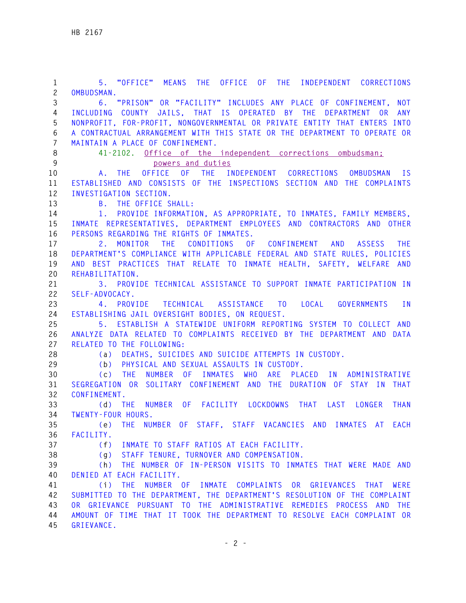**1 5. "OFFICE" MEANS THE OFFICE OF THE INDEPENDENT CORRECTIONS 2 OMBUDSMAN. 3 6. "PRISON" OR "FACILITY" INCLUDES ANY PLACE OF CONFINEMENT, NOT 4 INCLUDING COUNTY JAILS, THAT IS OPERATED BY THE DEPARTMENT OR ANY 5 NONPROFIT, FOR-PROFIT, NONGOVERNMENTAL OR PRIVATE ENTITY THAT ENTERS INTO 6 A CONTRACTUAL ARRANGEMENT WITH THIS STATE OR THE DEPARTMENT TO OPERATE OR 7 MAINTAIN A PLACE OF CONFINEMENT. 8 41-2102. Office of the independent corrections ombudsman; 9 powers and duties 10 A. THE OFFICE OF THE INDEPENDENT CORRECTIONS OMBUDSMAN IS 11 ESTABLISHED AND CONSISTS OF THE INSPECTIONS SECTION AND THE COMPLAINTS 12 INVESTIGATION SECTION. 13 B. THE OFFICE SHALL: 14 1. PROVIDE INFORMATION, AS APPROPRIATE, TO INMATES, FAMILY MEMBERS, 15 INMATE REPRESENTATIVES, DEPARTMENT EMPLOYEES AND CONTRACTORS AND OTHER 16 PERSONS REGARDING THE RIGHTS OF INMATES. 17 2. MONITOR THE CONDITIONS OF CONFINEMENT AND ASSESS THE 18 DEPARTMENT'S COMPLIANCE WITH APPLICABLE FEDERAL AND STATE RULES, POLICIES 19 AND BEST PRACTICES THAT RELATE TO INMATE HEALTH, SAFETY, WELFARE AND 20 REHABILITATION. 21 3. PROVIDE TECHNICAL ASSISTANCE TO SUPPORT INMATE PARTICIPATION IN 22 SELF-ADVOCACY. 23 4. PROVIDE TECHNICAL ASSISTANCE TO LOCAL GOVERNMENTS IN 24 ESTABLISHING JAIL OVERSIGHT BODIES, ON REQUEST. 25 5. ESTABLISH A STATEWIDE UNIFORM REPORTING SYSTEM TO COLLECT AND 26 ANALYZE DATA RELATED TO COMPLAINTS RECEIVED BY THE DEPARTMENT AND DATA 27 RELATED TO THE FOLLOWING: 28 (a) DEATHS, SUICIDES AND SUICIDE ATTEMPTS IN CUSTODY. 29 (b) PHYSICAL AND SEXUAL ASSAULTS IN CUSTODY. 30 (c) THE NUMBER OF INMATES WHO ARE PLACED IN ADMINISTRATIVE 31 SEGREGATION OR SOLITARY CONFINEMENT AND THE DURATION OF STAY IN THAT 32 CONFINEMENT. 33 (d) THE NUMBER OF FACILITY LOCKDOWNS THAT LAST LONGER THAN 34 TWENTY-FOUR HOURS. 35 (e) THE NUMBER OF STAFF, STAFF VACANCIES AND INMATES AT EACH 36 FACILITY. 37 (f) INMATE TO STAFF RATIOS AT EACH FACILITY. 38 (g) STAFF TENURE, TURNOVER AND COMPENSATION. 39 (h) THE NUMBER OF IN-PERSON VISITS TO INMATES THAT WERE MADE AND 40 DENIED AT EACH FACILITY. 41 (i) THE NUMBER OF INMATE COMPLAINTS OR GRIEVANCES THAT WERE 42 SUBMITTED TO THE DEPARTMENT, THE DEPARTMENT'S RESOLUTION OF THE COMPLAINT 43 OR GRIEVANCE PURSUANT TO THE ADMINISTRATIVE REMEDIES PROCESS AND THE 44 AMOUNT OF TIME THAT IT TOOK THE DEPARTMENT TO RESOLVE EACH COMPLAINT OR 45 GRIEVANCE.**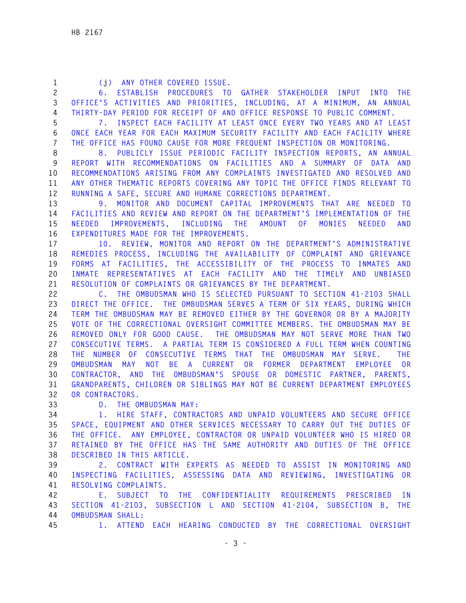| $\mathbf{1}$   | (j) ANY OTHER COVERED ISSUE.                                                   |
|----------------|--------------------------------------------------------------------------------|
| $\mathbf{2}$   | PROCEDURES TO GATHER STAKEHOLDER INPUT INTO THE<br>6. ESTABLISH                |
| 3              | OFFICE'S ACTIVITIES AND PRIORITIES, INCLUDING, AT A MINIMUM, AN ANNUAL         |
| $\overline{4}$ | THIRTY-DAY PERIOD FOR RECEIPT OF AND OFFICE RESPONSE TO PUBLIC COMMENT.        |
| 5              | 7. INSPECT EACH FACILITY AT LEAST ONCE EVERY TWO YEARS AND AT LEAST            |
| 6              | ONCE EACH YEAR FOR EACH MAXIMUM SECURITY FACILITY AND EACH FACILITY WHERE      |
| $\overline{7}$ | THE OFFICE HAS FOUND CAUSE FOR MORE FREQUENT INSPECTION OR MONITORING.         |
| 8              | 8. PUBLICLY ISSUE PERIODIC FACILITY INSPECTION REPORTS, AN ANNUAL              |
| 9              | REPORT WITH RECOMMENDATIONS ON FACILITIES AND A SUMMARY OF DATA AND            |
| 10             | RECOMMENDATIONS ARISING FROM ANY COMPLAINTS INVESTIGATED AND RESOLVED AND      |
| 11             | ANY OTHER THEMATIC REPORTS COVERING ANY TOPIC THE OFFICE FINDS RELEVANT TO     |
| 12             | RUNNING A SAFE, SECURE AND HUMANE CORRECTIONS DEPARTMENT.                      |
| 13             | 9. MONITOR AND DOCUMENT CAPITAL IMPROVEMENTS THAT ARE NEEDED TO                |
| 14             | FACILITIES AND REVIEW AND REPORT ON THE DEPARTMENT'S IMPLEMENTATION OF THE     |
| 15             | IMPROVEMENTS, INCLUDING THE AMOUNT OF MONIES<br><b>NEEDED</b><br>NEEDED<br>AND |
| 16             | EXPENDITURES MADE FOR THE IMPROVEMENTS.                                        |
| 17             | 10. REVIEW, MONITOR AND REPORT ON THE DEPARTMENT'S ADMINISTRATIVE              |
| 18             | REMEDIES PROCESS, INCLUDING THE AVAILABILITY OF COMPLAINT AND GRIEVANCE        |
| 19             | FORMS AT FACILITIES, THE ACCESSIBILITY OF THE PROCESS TO INMATES AND           |
| 20             | INMATE REPRESENTATIVES AT EACH FACILITY AND THE TIMELY AND UNBIASED            |
| 21             | RESOLUTION OF COMPLAINTS OR GRIEVANCES BY THE DEPARTMENT.                      |
| 22             | C. THE OMBUDSMAN WHO IS SELECTED PURSUANT TO SECTION 41-2103 SHALL             |
| 23             | DIRECT THE OFFICE. THE OMBUDSMAN SERVES A TERM OF SIX YEARS, DURING WHICH      |
| 24             | TERM THE OMBUDSMAN MAY BE REMOVED EITHER BY THE GOVERNOR OR BY A MAJORITY      |
| 25             | VOTE OF THE CORRECTIONAL OVERSIGHT COMMITTEE MEMBERS. THE OMBUDSMAN MAY BE     |
| 26             | REMOVED ONLY FOR GOOD CAUSE. THE OMBUDSMAN MAY NOT SERVE MORE THAN TWO         |
| 27             | CONSECUTIVE TERMS. A PARTIAL TERM IS CONSIDERED A FULL TERM WHEN COUNTING      |
| 28             | THE NUMBER OF CONSECUTIVE TERMS THAT THE OMBUDSMAN MAY SERVE. THE              |
| 29             | OMBUDSMAN MAY<br>NOT BE A CURRENT OR FORMER DEPARTMENT<br>EMPLOYEE OR          |
| 30             | CONTRACTOR, AND THE OMBUDSMAN'S SPOUSE OR DOMESTIC PARTNER, PARENTS,           |
| 31             | GRANDPARENTS, CHILDREN OR SIBLINGS MAY NOT BE CURRENT DEPARTMENT EMPLOYEES     |
| 32             | OR CONTRACTORS.                                                                |
| 33             | D. THE OMBUDSMAN MAY:                                                          |
| 34             | HIRE STAFF, CONTRACTORS AND UNPAID VOLUNTEERS AND SECURE OFFICE<br>1.          |
| 35             | SPACE, EQUIPMENT AND OTHER SERVICES NECESSARY TO CARRY OUT THE DUTIES OF       |
| 36             | THE OFFICE. ANY EMPLOYEE, CONTRACTOR OR UNPAID VOLUNTEER WHO IS HIRED OR       |
| 37             | RETAINED BY THE OFFICE HAS THE SAME AUTHORITY AND DUTIES OF THE OFFICE         |
| 38             | DESCRIBED IN THIS ARTICLE.                                                     |
| 39             | 2. CONTRACT WITH EXPERTS AS NEEDED TO ASSIST IN MONITORING AND                 |
| 40             | INSPECTING FACILITIES, ASSESSING DATA AND REVIEWING, INVESTIGATING OR          |
| 41             | RESOLVING COMPLAINTS.                                                          |
| 42             | E. SUBJECT TO THE CONFIDENTIALITY REQUIREMENTS PRESCRIBED<br>I N               |
| 43             | SECTION 41-2103, SUBSECTION L AND SECTION 41-2104, SUBSECTION B, THE           |
| 44             | OMBUDSMAN SHALL:                                                               |

**45 1. ATTEND EACH HEARING CONDUCTED BY THE CORRECTIONAL OVERSIGHT**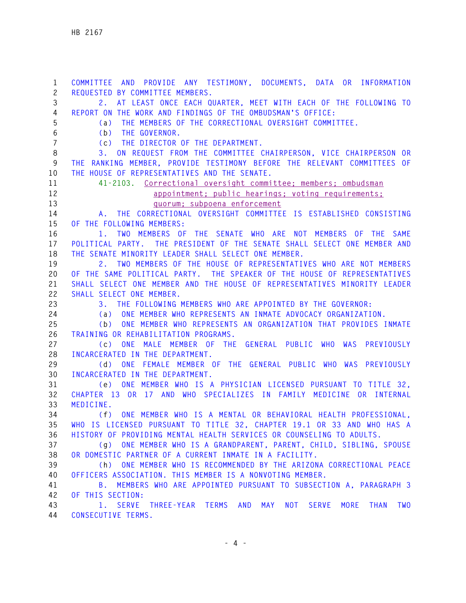**1 COMMITTEE AND PROVIDE ANY TESTIMONY, DOCUMENTS, DATA OR INFORMATION 2 REQUESTED BY COMMITTEE MEMBERS. 3 2. AT LEAST ONCE EACH QUARTER, MEET WITH EACH OF THE FOLLOWING TO 4 REPORT ON THE WORK AND FINDINGS OF THE OMBUDSMAN'S OFFICE: 5 (a) THE MEMBERS OF THE CORRECTIONAL OVERSIGHT COMMITTEE. 6 (b) THE GOVERNOR. 7 (c) THE DIRECTOR OF THE DEPARTMENT. 8 3. ON REQUEST FROM THE COMMITTEE CHAIRPERSON, VICE CHAIRPERSON OR 9 THE RANKING MEMBER, PROVIDE TESTIMONY BEFORE THE RELEVANT COMMITTEES OF 10 THE HOUSE OF REPRESENTATIVES AND THE SENATE. 11 41-2103. Correctional oversight committee; members; ombudsman 12 appointment; public hearings; voting requirements; 13 quorum; subpoena enforcement 14 A. THE CORRECTIONAL OVERSIGHT COMMITTEE IS ESTABLISHED CONSISTING 15 OF THE FOLLOWING MEMBERS: 16 1. TWO MEMBERS OF THE SENATE WHO ARE NOT MEMBERS OF THE SAME 17 POLITICAL PARTY. THE PRESIDENT OF THE SENATE SHALL SELECT ONE MEMBER AND 18 THE SENATE MINORITY LEADER SHALL SELECT ONE MEMBER. 19 2. TWO MEMBERS OF THE HOUSE OF REPRESENTATIVES WHO ARE NOT MEMBERS 20 OF THE SAME POLITICAL PARTY. THE SPEAKER OF THE HOUSE OF REPRESENTATIVES 21 SHALL SELECT ONE MEMBER AND THE HOUSE OF REPRESENTATIVES MINORITY LEADER 22 SHALL SELECT ONE MEMBER. 23 3. THE FOLLOWING MEMBERS WHO ARE APPOINTED BY THE GOVERNOR: 24 (a) ONE MEMBER WHO REPRESENTS AN INMATE ADVOCACY ORGANIZATION. 25 (b) ONE MEMBER WHO REPRESENTS AN ORGANIZATION THAT PROVIDES INMATE 26 TRAINING OR REHABILITATION PROGRAMS. 27 (c) ONE MALE MEMBER OF THE GENERAL PUBLIC WHO WAS PREVIOUSLY 28 INCARCERATED IN THE DEPARTMENT. 29 (d) ONE FEMALE MEMBER OF THE GENERAL PUBLIC WHO WAS PREVIOUSLY 30 INCARCERATED IN THE DEPARTMENT. 31 (e) ONE MEMBER WHO IS A PHYSICIAN LICENSED PURSUANT TO TITLE 32, 32 CHAPTER 13 OR 17 AND WHO SPECIALIZES IN FAMILY MEDICINE OR INTERNAL 33 MEDICINE. 34 (f) ONE MEMBER WHO IS A MENTAL OR BEHAVIORAL HEALTH PROFESSIONAL, 35 WHO IS LICENSED PURSUANT TO TITLE 32, CHAPTER 19.1 OR 33 AND WHO HAS A 36 HISTORY OF PROVIDING MENTAL HEALTH SERVICES OR COUNSELING TO ADULTS. 37 (g) ONE MEMBER WHO IS A GRANDPARENT, PARENT, CHILD, SIBLING, SPOUSE 38 OR DOMESTIC PARTNER OF A CURRENT INMATE IN A FACILITY. 39 (h) ONE MEMBER WHO IS RECOMMENDED BY THE ARIZONA CORRECTIONAL PEACE 40 OFFICERS ASSOCIATION. THIS MEMBER IS A NONVOTING MEMBER. 41 B. MEMBERS WHO ARE APPOINTED PURSUANT TO SUBSECTION A, PARAGRAPH 3 42 OF THIS SECTION: 43 1. SERVE THREE-YEAR TERMS AND MAY NOT SERVE MORE THAN TWO 44 CONSECUTIVE TERMS.**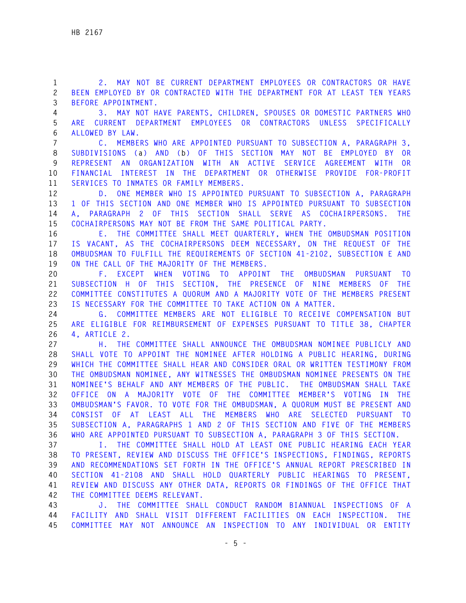**1 2. MAY NOT BE CURRENT DEPARTMENT EMPLOYEES OR CONTRACTORS OR HAVE 2 BEEN EMPLOYED BY OR CONTRACTED WITH THE DEPARTMENT FOR AT LEAST TEN YEARS 3 BEFORE APPOINTMENT.** 

**4 3. MAY NOT HAVE PARENTS, CHILDREN, SPOUSES OR DOMESTIC PARTNERS WHO 5 ARE CURRENT DEPARTMENT EMPLOYEES OR CONTRACTORS UNLESS SPECIFICALLY 6 ALLOWED BY LAW.** 

**7 C. MEMBERS WHO ARE APPOINTED PURSUANT TO SUBSECTION A, PARAGRAPH 3, 8 SUBDIVISIONS (a) AND (b) OF THIS SECTION MAY NOT BE EMPLOYED BY OR 9 REPRESENT AN ORGANIZATION WITH AN ACTIVE SERVICE AGREEMENT WITH OR 10 FINANCIAL INTEREST IN THE DEPARTMENT OR OTHERWISE PROVIDE FOR-PROFIT 11 SERVICES TO INMATES OR FAMILY MEMBERS.** 

**12 D. ONE MEMBER WHO IS APPOINTED PURSUANT TO SUBSECTION A, PARAGRAPH 13 1 OF THIS SECTION AND ONE MEMBER WHO IS APPOINTED PURSUANT TO SUBSECTION 14 A, PARAGRAPH 2 OF THIS SECTION SHALL SERVE AS COCHAIRPERSONS. THE 15 COCHAIRPERSONS MAY NOT BE FROM THE SAME POLITICAL PARTY.** 

**16 E. THE COMMITTEE SHALL MEET QUARTERLY, WHEN THE OMBUDSMAN POSITION 17 IS VACANT, AS THE COCHAIRPERSONS DEEM NECESSARY, ON THE REQUEST OF THE 18 OMBUDSMAN TO FULFILL THE REQUIREMENTS OF SECTION 41-2102, SUBSECTION E AND 19 ON THE CALL OF THE MAJORITY OF THE MEMBERS.** 

**20 F. EXCEPT WHEN VOTING TO APPOINT THE OMBUDSMAN PURSUANT TO 21 SUBSECTION H OF THIS SECTION, THE PRESENCE OF NINE MEMBERS OF THE 22 COMMITTEE CONSTITUTES A QUORUM AND A MAJORITY VOTE OF THE MEMBERS PRESENT 23 IS NECESSARY FOR THE COMMITTEE TO TAKE ACTION ON A MATTER.** 

**24 G. COMMITTEE MEMBERS ARE NOT ELIGIBLE TO RECEIVE COMPENSATION BUT 25 ARE ELIGIBLE FOR REIMBURSEMENT OF EXPENSES PURSUANT TO TITLE 38, CHAPTER 26 4, ARTICLE 2.** 

**27 H. THE COMMITTEE SHALL ANNOUNCE THE OMBUDSMAN NOMINEE PUBLICLY AND 28 SHALL VOTE TO APPOINT THE NOMINEE AFTER HOLDING A PUBLIC HEARING, DURING 29 WHICH THE COMMITTEE SHALL HEAR AND CONSIDER ORAL OR WRITTEN TESTIMONY FROM 30 THE OMBUDSMAN NOMINEE, ANY WITNESSES THE OMBUDSMAN NOMINEE PRESENTS ON THE 31 NOMINEE'S BEHALF AND ANY MEMBERS OF THE PUBLIC. THE OMBUDSMAN SHALL TAKE 32 OFFICE ON A MAJORITY VOTE OF THE COMMITTEE MEMBER'S VOTING IN THE 33 OMBUDSMAN'S FAVOR. TO VOTE FOR THE OMBUDSMAN, A QUORUM MUST BE PRESENT AND 34 CONSIST OF AT LEAST ALL THE MEMBERS WHO ARE SELECTED PURSUANT TO 35 SUBSECTION A, PARAGRAPHS 1 AND 2 OF THIS SECTION AND FIVE OF THE MEMBERS 36 WHO ARE APPOINTED PURSUANT TO SUBSECTION A, PARAGRAPH 3 OF THIS SECTION.** 

**37 I. THE COMMITTEE SHALL HOLD AT LEAST ONE PUBLIC HEARING EACH YEAR 38 TO PRESENT, REVIEW AND DISCUSS THE OFFICE'S INSPECTIONS, FINDINGS, REPORTS 39 AND RECOMMENDATIONS SET FORTH IN THE OFFICE'S ANNUAL REPORT PRESCRIBED IN 40 SECTION 41-2108 AND SHALL HOLD QUARTERLY PUBLIC HEARINGS TO PRESENT, 41 REVIEW AND DISCUSS ANY OTHER DATA, REPORTS OR FINDINGS OF THE OFFICE THAT 42 THE COMMITTEE DEEMS RELEVANT.** 

**43 J. THE COMMITTEE SHALL CONDUCT RANDOM BIANNUAL INSPECTIONS OF A 44 FACILITY AND SHALL VISIT DIFFERENT FACILITIES ON EACH INSPECTION. THE 45 COMMITTEE MAY NOT ANNOUNCE AN INSPECTION TO ANY INDIVIDUAL OR ENTITY**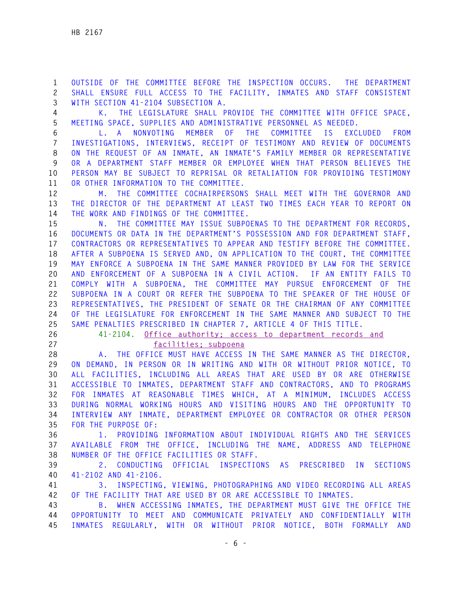**1 OUTSIDE OF THE COMMITTEE BEFORE THE INSPECTION OCCURS. THE DEPARTMENT 2 SHALL ENSURE FULL ACCESS TO THE FACILITY, INMATES AND STAFF CONSISTENT 3 WITH SECTION 41-2104 SUBSECTION A.** 

**4 K. THE LEGISLATURE SHALL PROVIDE THE COMMITTEE WITH OFFICE SPACE, 5 MEETING SPACE, SUPPLIES AND ADMINISTRATIVE PERSONNEL AS NEEDED.** 

**6 L. A NONVOTING MEMBER OF THE COMMITTEE IS EXCLUDED FROM 7 INVESTIGATIONS, INTERVIEWS, RECEIPT OF TESTIMONY AND REVIEW OF DOCUMENTS 8 ON THE REQUEST OF AN INMATE, AN INMATE'S FAMILY MEMBER OR REPRESENTATIVE 9 OR A DEPARTMENT STAFF MEMBER OR EMPLOYEE WHEN THAT PERSON BELIEVES THE 10 PERSON MAY BE SUBJECT TO REPRISAL OR RETALIATION FOR PROVIDING TESTIMONY 11 OR OTHER INFORMATION TO THE COMMITTEE.** 

**12 M. THE COMMITTEE COCHAIRPERSONS SHALL MEET WITH THE GOVERNOR AND 13 THE DIRECTOR OF THE DEPARTMENT AT LEAST TWO TIMES EACH YEAR TO REPORT ON 14 THE WORK AND FINDINGS OF THE COMMITTEE.** 

**15 N. THE COMMITTEE MAY ISSUE SUBPOENAS TO THE DEPARTMENT FOR RECORDS, 16 DOCUMENTS OR DATA IN THE DEPARTMENT'S POSSESSION AND FOR DEPARTMENT STAFF, 17 CONTRACTORS OR REPRESENTATIVES TO APPEAR AND TESTIFY BEFORE THE COMMITTEE. 18 AFTER A SUBPOENA IS SERVED AND, ON APPLICATION TO THE COURT, THE COMMITTEE 19 MAY ENFORCE A SUBPOENA IN THE SAME MANNER PROVIDED BY LAW FOR THE SERVICE 20 AND ENFORCEMENT OF A SUBPOENA IN A CIVIL ACTION. IF AN ENTITY FAILS TO 21 COMPLY WITH A SUBPOENA, THE COMMITTEE MAY PURSUE ENFORCEMENT OF THE 22 SUBPOENA IN A COURT OR REFER THE SUBPOENA TO THE SPEAKER OF THE HOUSE OF 23 REPRESENTATIVES, THE PRESIDENT OF SENATE OR THE CHAIRMAN OF ANY COMMITTEE 24 OF THE LEGISLATURE FOR ENFORCEMENT IN THE SAME MANNER AND SUBJECT TO THE 25 SAME PENALTIES PRESCRIBED IN CHAPTER 7, ARTICLE 4 OF THIS TITLE.** 

- 
- 

## **26 41-2104. Office authority; access to department records and**

**27 facilities; subpoena**

**28 A. THE OFFICE MUST HAVE ACCESS IN THE SAME MANNER AS THE DIRECTOR, 29 ON DEMAND, IN PERSON OR IN WRITING AND WITH OR WITHOUT PRIOR NOTICE, TO 30 ALL FACILITIES, INCLUDING ALL AREAS THAT ARE USED BY OR ARE OTHERWISE 31 ACCESSIBLE TO INMATES, DEPARTMENT STAFF AND CONTRACTORS, AND TO PROGRAMS 32 FOR INMATES AT REASONABLE TIMES WHICH, AT A MINIMUM, INCLUDES ACCESS 33 DURING NORMAL WORKING HOURS AND VISITING HOURS AND THE OPPORTUNITY TO 34 INTERVIEW ANY INMATE, DEPARTMENT EMPLOYEE OR CONTRACTOR OR OTHER PERSON 35 FOR THE PURPOSE OF:** 

**36 1. PROVIDING INFORMATION ABOUT INDIVIDUAL RIGHTS AND THE SERVICES 37 AVAILABLE FROM THE OFFICE, INCLUDING THE NAME, ADDRESS AND TELEPHONE 38 NUMBER OF THE OFFICE FACILITIES OR STAFF.** 

**39 2. CONDUCTING OFFICIAL INSPECTIONS AS PRESCRIBED IN SECTIONS 40 41-2102 AND 41-2106.** 

**41 3. INSPECTING, VIEWING, PHOTOGRAPHING AND VIDEO RECORDING ALL AREAS 42 OF THE FACILITY THAT ARE USED BY OR ARE ACCESSIBLE TO INMATES.** 

**43 B. WHEN ACCESSING INMATES, THE DEPARTMENT MUST GIVE THE OFFICE THE 44 OPPORTUNITY TO MEET AND COMMUNICATE PRIVATELY AND CONFIDENTIALLY WITH 45 INMATES REGULARLY, WITH OR WITHOUT PRIOR NOTICE, BOTH FORMALLY AND**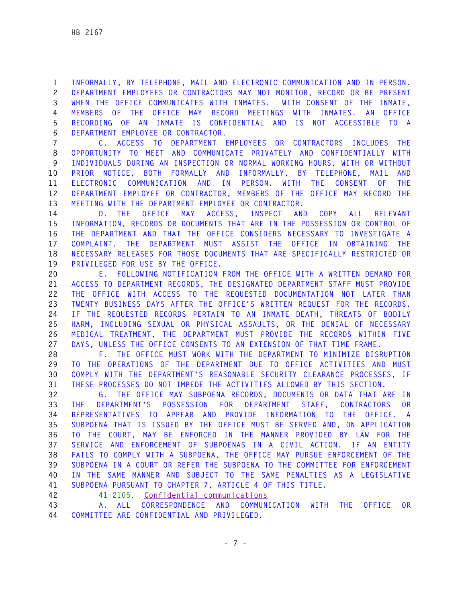**1 INFORMALLY, BY TELEPHONE, MAIL AND ELECTRONIC COMMUNICATION AND IN PERSON. 2 DEPARTMENT EMPLOYEES OR CONTRACTORS MAY NOT MONITOR, RECORD OR BE PRESENT 3 WHEN THE OFFICE COMMUNICATES WITH INMATES. WITH CONSENT OF THE INMATE, 4 MEMBERS OF THE OFFICE MAY RECORD MEETINGS WITH INMATES. AN OFFICE 5 RECORDING OF AN INMATE IS CONFIDENTIAL AND IS NOT ACCESSIBLE TO A 6 DEPARTMENT EMPLOYEE OR CONTRACTOR.** 

**7 C. ACCESS TO DEPARTMENT EMPLOYEES OR CONTRACTORS INCLUDES THE 8 OPPORTUNITY TO MEET AND COMMUNICATE PRIVATELY AND CONFIDENTIALLY WITH 9 INDIVIDUALS DURING AN INSPECTION OR NORMAL WORKING HOURS, WITH OR WITHOUT 10 PRIOR NOTICE, BOTH FORMALLY AND INFORMALLY, BY TELEPHONE, MAIL AND 11 ELECTRONIC COMMUNICATION AND IN PERSON. WITH THE CONSENT OF THE 12 DEPARTMENT EMPLOYEE OR CONTRACTOR, MEMBERS OF THE OFFICE MAY RECORD THE 13 MEETING WITH THE DEPARTMENT EMPLOYEE OR CONTRACTOR.** 

**14 D. THE OFFICE MAY ACCESS, INSPECT AND COPY ALL RELEVANT 15 INFORMATION, RECORDS OR DOCUMENTS THAT ARE IN THE POSSESSION OR CONTROL OF 16 THE DEPARTMENT AND THAT THE OFFICE CONSIDERS NECESSARY TO INVESTIGATE A 17 COMPLAINT. THE DEPARTMENT MUST ASSIST THE OFFICE IN OBTAINING THE 18 NECESSARY RELEASES FOR THOSE DOCUMENTS THAT ARE SPECIFICALLY RESTRICTED OR 19 PRIVILEGED FOR USE BY THE OFFICE.** 

**20 E. FOLLOWING NOTIFICATION FROM THE OFFICE WITH A WRITTEN DEMAND FOR 21 ACCESS TO DEPARTMENT RECORDS, THE DESIGNATED DEPARTMENT STAFF MUST PROVIDE 22 THE OFFICE WITH ACCESS TO THE REQUESTED DOCUMENTATION NOT LATER THAN 23 TWENTY BUSINESS DAYS AFTER THE OFFICE'S WRITTEN REQUEST FOR THE RECORDS. 24 IF THE REQUESTED RECORDS PERTAIN TO AN INMATE DEATH, THREATS OF BODILY 25 HARM, INCLUDING SEXUAL OR PHYSICAL ASSAULTS, OR THE DENIAL OF NECESSARY 26 MEDICAL TREATMENT, THE DEPARTMENT MUST PROVIDE THE RECORDS WITHIN FIVE 27 DAYS, UNLESS THE OFFICE CONSENTS TO AN EXTENSION OF THAT TIME FRAME.** 

**28 F. THE OFFICE MUST WORK WITH THE DEPARTMENT TO MINIMIZE DISRUPTION 29 TO THE OPERATIONS OF THE DEPARTMENT DUE TO OFFICE ACTIVITIES AND MUST 30 COMPLY WITH THE DEPARTMENT'S REASONABLE SECURITY CLEARANCE PROCESSES, IF 31 THESE PROCESSES DO NOT IMPEDE THE ACTIVITIES ALLOWED BY THIS SECTION.** 

**32 G. THE OFFICE MAY SUBPOENA RECORDS, DOCUMENTS OR DATA THAT ARE IN 33 THE DEPARTMENT'S POSSESSION FOR DEPARTMENT STAFF, CONTRACTORS OR 34 REPRESENTATIVES TO APPEAR AND PROVIDE INFORMATION TO THE OFFICE. A 35 SUBPOENA THAT IS ISSUED BY THE OFFICE MUST BE SERVED AND, ON APPLICATION 36 TO THE COURT, MAY BE ENFORCED IN THE MANNER PROVIDED BY LAW FOR THE 37 SERVICE AND ENFORCEMENT OF SUBPOENAS IN A CIVIL ACTION. IF AN ENTITY 38 FAILS TO COMPLY WITH A SUBPOENA, THE OFFICE MAY PURSUE ENFORCEMENT OF THE 39 SUBPOENA IN A COURT OR REFER THE SUBPOENA TO THE COMMITTEE FOR ENFORCEMENT 40 IN THE SAME MANNER AND SUBJECT TO THE SAME PENALTIES AS A LEGISLATIVE 41 SUBPOENA PURSUANT TO CHAPTER 7, ARTICLE 4 OF THIS TITLE.** 

**42 41-2105. Confidential communications**

**43 A. ALL CORRESPONDENCE AND COMMUNICATION WITH THE OFFICE OR 44 COMMITTEE ARE CONFIDENTIAL AND PRIVILEGED.**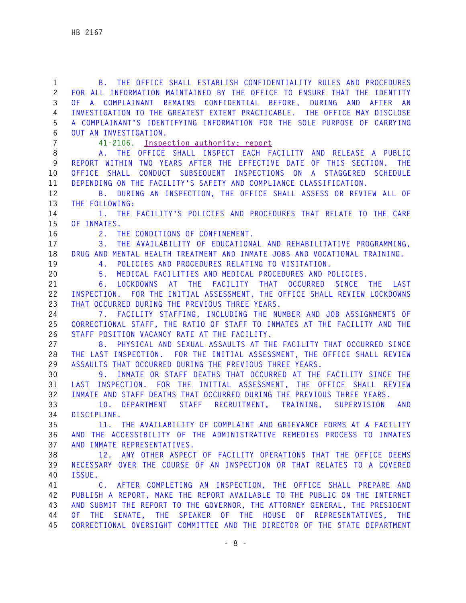| $\mathbf 1$    | B. THE OFFICE SHALL ESTABLISH CONFIDENTIALITY RULES AND PROCEDURES                                                         |
|----------------|----------------------------------------------------------------------------------------------------------------------------|
| $\overline{c}$ | FOR ALL INFORMATION MAINTAINED BY THE OFFICE TO ENSURE THAT THE IDENTITY                                                   |
| 3              | OF A COMPLAINANT REMAINS CONFIDENTIAL BEFORE, DURING AND AFTER AN                                                          |
| 4              | INVESTIGATION TO THE GREATEST EXTENT PRACTICABLE. THE OFFICE MAY DISCLOSE                                                  |
| 5              | A COMPLAINANT'S IDENTIFYING INFORMATION FOR THE SOLE PURPOSE OF CARRYING                                                   |
| 6              | OUT AN INVESTIGATION.                                                                                                      |
| $\overline{7}$ | 41-2106. Inspection authority; report                                                                                      |
| 8              | A. THE OFFICE SHALL INSPECT EACH FACILITY AND RELEASE A PUBLIC                                                             |
| 9              | REPORT WITHIN TWO YEARS AFTER THE EFFECTIVE DATE OF THIS SECTION. THE                                                      |
| 10             | OFFICE SHALL CONDUCT SUBSEQUENT INSPECTIONS ON A STAGGERED SCHEDULE                                                        |
| 11             | DEPENDING ON THE FACILITY'S SAFETY AND COMPLIANCE CLASSIFICATION.                                                          |
| 12             | DURING AN INSPECTION, THE OFFICE SHALL ASSESS OR REVIEW ALL OF<br><b>B</b> .                                               |
| 13             | THE FOLLOWING:                                                                                                             |
| 14             | 1. THE FACILITY'S POLICIES AND PROCEDURES THAT RELATE TO THE CARE                                                          |
| 15             | OF INMATES.                                                                                                                |
| 16             | 2. THE CONDITIONS OF CONFINEMENT.                                                                                          |
| 17             | THE AVAILABILITY OF EDUCATIONAL AND REHABILITATIVE PROGRAMMING.<br>3.                                                      |
| 18             | DRUG AND MENTAL HEALTH TREATMENT AND INMATE JOBS AND VOCATIONAL TRAINING.                                                  |
| 19             | POLICIES AND PROCEDURES RELATING TO VISITATION.<br>4.                                                                      |
| 20<br>21       | MEDICAL FACILITIES AND MEDICAL PROCEDURES AND POLICIES.<br>5.<br>LOCKDOWNS AT THE FACILITY THAT OCCURRED<br>SINCE THE LAST |
| 22             | 6.<br>INSPECTION. FOR THE INITIAL ASSESSMENT, THE OFFICE SHALL REVIEW LOCKDOWNS                                            |
| 23             | THAT OCCURRED DURING THE PREVIOUS THREE YEARS.                                                                             |
| 24             | 7. FACILITY STAFFING, INCLUDING THE NUMBER AND JOB ASSIGNMENTS OF                                                          |
| 25             | CORRECTIONAL STAFF, THE RATIO OF STAFF TO INMATES AT THE FACILITY AND THE                                                  |
| 26             | STAFF POSITION VACANCY RATE AT THE FACILITY.                                                                               |
| 27             | 8. PHYSICAL AND SEXUAL ASSAULTS AT THE FACILITY THAT OCCURRED SINCE                                                        |
| 28             | THE LAST INSPECTION. FOR THE INITIAL ASSESSMENT, THE OFFICE SHALL REVIEW                                                   |
| 29             | ASSAULTS THAT OCCURRED DURING THE PREVIOUS THREE YEARS.                                                                    |
| 30             | INMATE OR STAFF DEATHS THAT OCCURRED AT THE FACILITY SINCE THE<br>9.                                                       |
| 31             | LAST INSPECTION. FOR THE INITIAL ASSESSMENT, THE OFFICE SHALL REVIEW                                                       |
| 32             | INMATE AND STAFF DEATHS THAT OCCURRED DURING THE PREVIOUS THREE YEARS.                                                     |
| 33             | 10. DEPARTMENT STAFF RECRUITMENT, TRAINING, SUPERVISION<br>AND                                                             |
| 34             | DISCIPLINE.                                                                                                                |
| 35             | 11. THE AVAILABILITY OF COMPLAINT AND GRIEVANCE FORMS AT A FACILITY                                                        |
| 36             | AND THE ACCESSIBILITY OF THE ADMINISTRATIVE REMEDIES PROCESS TO INMATES                                                    |
| 37             | AND INMATE REPRESENTATIVES.                                                                                                |
| 38             | 12. ANY OTHER ASPECT OF FACILITY OPERATIONS THAT THE OFFICE DEEMS                                                          |
| 39             | NECESSARY OVER THE COURSE OF AN INSPECTION OR THAT RELATES TO A COVERED                                                    |
| 40             | ISSUE.                                                                                                                     |
| 41             | C. AFTER COMPLETING AN INSPECTION, THE OFFICE SHALL PREPARE AND                                                            |
| 42             | PUBLISH A REPORT, MAKE THE REPORT AVAILABLE TO THE PUBLIC ON THE INTERNET                                                  |
| 43             | AND SUBMIT THE REPORT TO THE GOVERNOR, THE ATTORNEY GENERAL, THE PRESIDENT                                                 |
| 44             | OF THE SENATE, THE SPEAKER OF THE HOUSE OF REPRESENTATIVES, THE                                                            |
| 45             | CORRECTIONAL OVERSIGHT COMMITTEE AND THE DIRECTOR OF THE STATE DEPARTMENT                                                  |
|                |                                                                                                                            |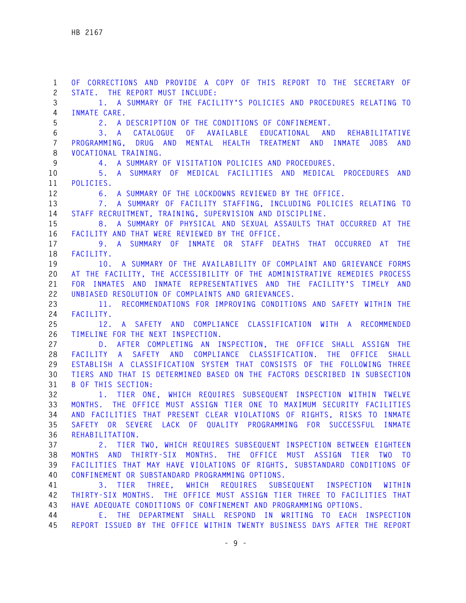**1 OF CORRECTIONS AND PROVIDE A COPY OF THIS REPORT TO THE SECRETARY OF 2 STATE. THE REPORT MUST INCLUDE: 3 1. A SUMMARY OF THE FACILITY'S POLICIES AND PROCEDURES RELATING TO 4 INMATE CARE. 5 2. A DESCRIPTION OF THE CONDITIONS OF CONFINEMENT. 6 3. A CATALOGUE OF AVAILABLE EDUCATIONAL AND REHABILITATIVE 7 PROGRAMMING, DRUG AND MENTAL HEALTH TREATMENT AND INMATE JOBS AND 8 VOCATIONAL TRAINING. 9 4. A SUMMARY OF VISITATION POLICIES AND PROCEDURES. 10 5. A SUMMARY OF MEDICAL FACILITIES AND MEDICAL PROCEDURES AND 11 POLICIES. 12 6. A SUMMARY OF THE LOCKDOWNS REVIEWED BY THE OFFICE. 13 7. A SUMMARY OF FACILITY STAFFING, INCLUDING POLICIES RELATING TO 14 STAFF RECRUITMENT, TRAINING, SUPERVISION AND DISCIPLINE. 15 8. A SUMMARY OF PHYSICAL AND SEXUAL ASSAULTS THAT OCCURRED AT THE 16 FACILITY AND THAT WERE REVIEWED BY THE OFFICE. 17 9. A SUMMARY OF INMATE OR STAFF DEATHS THAT OCCURRED AT THE 18 FACILITY. 19 10. A SUMMARY OF THE AVAILABILITY OF COMPLAINT AND GRIEVANCE FORMS 20 AT THE FACILITY, THE ACCESSIBILITY OF THE ADMINISTRATIVE REMEDIES PROCESS 21 FOR INMATES AND INMATE REPRESENTATIVES AND THE FACILITY'S TIMELY AND 22 UNBIASED RESOLUTION OF COMPLAINTS AND GRIEVANCES. 23 11. RECOMMENDATIONS FOR IMPROVING CONDITIONS AND SAFETY WITHIN THE 24 FACILITY. 25 12. A SAFETY AND COMPLIANCE CLASSIFICATION WITH A RECOMMENDED 26 TIMELINE FOR THE NEXT INSPECTION. 27 D. AFTER COMPLETING AN INSPECTION, THE OFFICE SHALL ASSIGN THE 28 FACILITY A SAFETY AND COMPLIANCE CLASSIFICATION. THE OFFICE SHALL 29 ESTABLISH A CLASSIFICATION SYSTEM THAT CONSISTS OF THE FOLLOWING THREE 30 TIERS AND THAT IS DETERMINED BASED ON THE FACTORS DESCRIBED IN SUBSECTION 31 B OF THIS SECTION: 32 1. TIER ONE, WHICH REQUIRES SUBSEQUENT INSPECTION WITHIN TWELVE 33 MONTHS. THE OFFICE MUST ASSIGN TIER ONE TO MAXIMUM SECURITY FACILITIES 34 AND FACILITIES THAT PRESENT CLEAR VIOLATIONS OF RIGHTS, RISKS TO INMATE 35 SAFETY OR SEVERE LACK OF QUALITY PROGRAMMING FOR SUCCESSFUL INMATE 36 REHABILITATION. 37 2. TIER TWO, WHICH REQUIRES SUBSEQUENT INSPECTION BETWEEN EIGHTEEN 38 MONTHS AND THIRTY-SIX MONTHS. THE OFFICE MUST ASSIGN TIER TWO TO 39 FACILITIES THAT MAY HAVE VIOLATIONS OF RIGHTS, SUBSTANDARD CONDITIONS OF 40 CONFINEMENT OR SUBSTANDARD PROGRAMMING OPTIONS. 41 3. TIER THREE, WHICH REQUIRES SUBSEQUENT INSPECTION WITHIN 42 THIRTY-SIX MONTHS. THE OFFICE MUST ASSIGN TIER THREE TO FACILITIES THAT 43 HAVE ADEQUATE CONDITIONS OF CONFINEMENT AND PROGRAMMING OPTIONS. 44 E. THE DEPARTMENT SHALL RESPOND IN WRITING TO EACH INSPECTION 45 REPORT ISSUED BY THE OFFICE WITHIN TWENTY BUSINESS DAYS AFTER THE REPORT**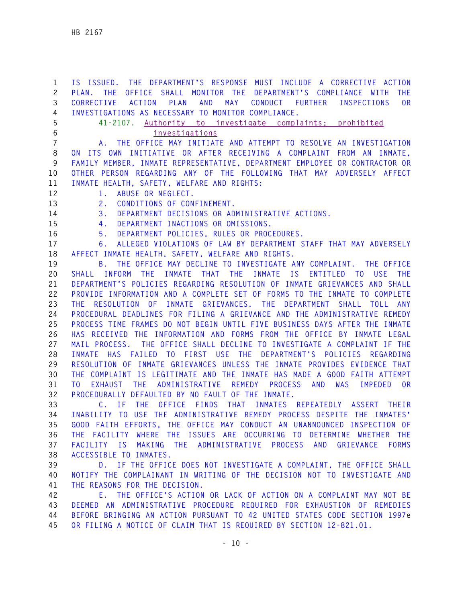**1 IS ISSUED. THE DEPARTMENT'S RESPONSE MUST INCLUDE A CORRECTIVE ACTION 2 PLAN. THE OFFICE SHALL MONITOR THE DEPARTMENT'S COMPLIANCE WITH THE 3 CORRECTIVE ACTION PLAN AND MAY CONDUCT FURTHER INSPECTIONS OR 4 INVESTIGATIONS AS NECESSARY TO MONITOR COMPLIANCE. 5 41-2107. Authority to investigate complaints; prohibited 6 investigations 7 A. THE OFFICE MAY INITIATE AND ATTEMPT TO RESOLVE AN INVESTIGATION 8 ON ITS OWN INITIATIVE OR AFTER RECEIVING A COMPLAINT FROM AN INMATE, 9 FAMILY MEMBER, INMATE REPRESENTATIVE, DEPARTMENT EMPLOYEE OR CONTRACTOR OR 10 OTHER PERSON REGARDING ANY OF THE FOLLOWING THAT MAY ADVERSELY AFFECT 11 INMATE HEALTH, SAFETY, WELFARE AND RIGHTS: 12 1. ABUSE OR NEGLECT. 13 2. CONDITIONS OF CONFINEMENT. 14 3. DEPARTMENT DECISIONS OR ADMINISTRATIVE ACTIONS. 15 4. DEPARTMENT INACTIONS OR OMISSIONS. 16 5. DEPARTMENT POLICIES, RULES OR PROCEDURES. 17 6. ALLEGED VIOLATIONS OF LAW BY DEPARTMENT STAFF THAT MAY ADVERSELY 18 AFFECT INMATE HEALTH, SAFETY, WELFARE AND RIGHTS. 19 B. THE OFFICE MAY DECLINE TO INVESTIGATE ANY COMPLAINT. THE OFFICE 20 SHALL INFORM THE INMATE THAT THE INMATE IS ENTITLED TO USE THE 21 DEPARTMENT'S POLICIES REGARDING RESOLUTION OF INMATE GRIEVANCES AND SHALL 22 PROVIDE INFORMATION AND A COMPLETE SET OF FORMS TO THE INMATE TO COMPLETE 23 THE RESOLUTION OF INMATE GRIEVANCES. THE DEPARTMENT SHALL TOLL ANY 24 PROCEDURAL DEADLINES FOR FILING A GRIEVANCE AND THE ADMINISTRATIVE REMEDY 25 PROCESS TIME FRAMES DO NOT BEGIN UNTIL FIVE BUSINESS DAYS AFTER THE INMATE 26 HAS RECEIVED THE INFORMATION AND FORMS FROM THE OFFICE BY INMATE LEGAL 27 MAIL PROCESS. THE OFFICE SHALL DECLINE TO INVESTIGATE A COMPLAINT IF THE 28 INMATE HAS FAILED TO FIRST USE THE DEPARTMENT'S POLICIES REGARDING 29 RESOLUTION OF INMATE GRIEVANCES UNLESS THE INMATE PROVIDES EVIDENCE THAT 30 THE COMPLAINT IS LEGITIMATE AND THE INMATE HAS MADE A GOOD FAITH ATTEMPT 31 TO EXHAUST THE ADMINISTRATIVE REMEDY PROCESS AND WAS IMPEDED OR 32 PROCEDURALLY DEFAULTED BY NO FAULT OF THE INMATE. 33 C. IF THE OFFICE FINDS THAT INMATES REPEATEDLY ASSERT THEIR 34 INABILITY TO USE THE ADMINISTRATIVE REMEDY PROCESS DESPITE THE INMATES' 35 GOOD FAITH EFFORTS, THE OFFICE MAY CONDUCT AN UNANNOUNCED INSPECTION OF 36 THE FACILITY WHERE THE ISSUES ARE OCCURRING TO DETERMINE WHETHER THE 37 FACILITY IS MAKING THE ADMINISTRATIVE PROCESS AND GRIEVANCE FORMS 38 ACCESSIBLE TO INMATES. 39 D. IF THE OFFICE DOES NOT INVESTIGATE A COMPLAINT, THE OFFICE SHALL 40 NOTIFY THE COMPLAINANT IN WRITING OF THE DECISION NOT TO INVESTIGATE AND 41 THE REASONS FOR THE DECISION. 42 E. THE OFFICE'S ACTION OR LACK OF ACTION ON A COMPLAINT MAY NOT BE** 

**43 DEEMED AN ADMINISTRATIVE PROCEDURE REQUIRED FOR EXHAUSTION OF REMEDIES 44 BEFORE BRINGING AN ACTION PURSUANT TO 42 UNITED STATES CODE SECTION 1997e 45 OR FILING A NOTICE OF CLAIM THAT IS REQUIRED BY SECTION 12-821.01.**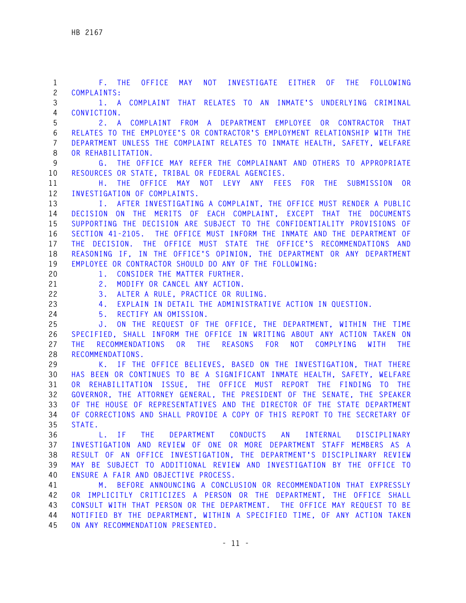**1 F. THE OFFICE MAY NOT INVESTIGATE EITHER OF THE FOLLOWING 2 COMPLAINTS: 3 1. A COMPLAINT THAT RELATES TO AN INMATE'S UNDERLYING CRIMINAL 4 CONVICTION. 5 2. A COMPLAINT FROM A DEPARTMENT EMPLOYEE OR CONTRACTOR THAT 6 RELATES TO THE EMPLOYEE'S OR CONTRACTOR'S EMPLOYMENT RELATIONSHIP WITH THE 7 DEPARTMENT UNLESS THE COMPLAINT RELATES TO INMATE HEALTH, SAFETY, WELFARE 8 OR REHABILITATION. 9 G. THE OFFICE MAY REFER THE COMPLAINANT AND OTHERS TO APPROPRIATE 10 RESOURCES OR STATE, TRIBAL OR FEDERAL AGENCIES. 11 H. THE OFFICE MAY NOT LEVY ANY FEES FOR THE SUBMISSION OR 12 INVESTIGATION OF COMPLAINTS. 13 I. AFTER INVESTIGATING A COMPLAINT, THE OFFICE MUST RENDER A PUBLIC 14 DECISION ON THE MERITS OF EACH COMPLAINT, EXCEPT THAT THE DOCUMENTS 15 SUPPORTING THE DECISION ARE SUBJECT TO THE CONFIDENTIALITY PROVISIONS OF 16 SECTION 41-2105. THE OFFICE MUST INFORM THE INMATE AND THE DEPARTMENT OF 17 THE DECISION. THE OFFICE MUST STATE THE OFFICE'S RECOMMENDATIONS AND 18 REASONING IF, IN THE OFFICE'S OPINION, THE DEPARTMENT OR ANY DEPARTMENT 19 EMPLOYEE OR CONTRACTOR SHOULD DO ANY OF THE FOLLOWING: 20 1. CONSIDER THE MATTER FURTHER. 21 2. MODIFY OR CANCEL ANY ACTION. 22 3. ALTER A RULE, PRACTICE OR RULING. 23 4. EXPLAIN IN DETAIL THE ADMINISTRATIVE ACTION IN QUESTION. 24 5. RECTIFY AN OMISSION. 25 J. ON THE REQUEST OF THE OFFICE, THE DEPARTMENT, WITHIN THE TIME 26 SPECIFIED, SHALL INFORM THE OFFICE IN WRITING ABOUT ANY ACTION TAKEN ON 27 THE RECOMMENDATIONS OR THE REASONS FOR NOT COMPLYING WITH THE 28 RECOMMENDATIONS. 29 K. IF THE OFFICE BELIEVES, BASED ON THE INVESTIGATION, THAT THERE 30 HAS BEEN OR CONTINUES TO BE A SIGNIFICANT INMATE HEALTH, SAFETY, WELFARE 31 OR REHABILITATION ISSUE, THE OFFICE MUST REPORT THE FINDING TO THE 32 GOVERNOR, THE ATTORNEY GENERAL, THE PRESIDENT OF THE SENATE, THE SPEAKER 33 OF THE HOUSE OF REPRESENTATIVES AND THE DIRECTOR OF THE STATE DEPARTMENT 34 OF CORRECTIONS AND SHALL PROVIDE A COPY OF THIS REPORT TO THE SECRETARY OF 35 STATE. 36 L. IF THE DEPARTMENT CONDUCTS AN INTERNAL DISCIPLINARY 37 INVESTIGATION AND REVIEW OF ONE OR MORE DEPARTMENT STAFF MEMBERS AS A 38 RESULT OF AN OFFICE INVESTIGATION, THE DEPARTMENT'S DISCIPLINARY REVIEW 39 MAY BE SUBJECT TO ADDITIONAL REVIEW AND INVESTIGATION BY THE OFFICE TO 40 ENSURE A FAIR AND OBJECTIVE PROCESS. 41 M. BEFORE ANNOUNCING A CONCLUSION OR RECOMMENDATION THAT EXPRESSLY 42 OR IMPLICITLY CRITICIZES A PERSON OR THE DEPARTMENT, THE OFFICE SHALL 43 CONSULT WITH THAT PERSON OR THE DEPARTMENT. THE OFFICE MAY REQUEST TO BE 44 NOTIFIED BY THE DEPARTMENT, WITHIN A SPECIFIED TIME, OF ANY ACTION TAKEN 45 ON ANY RECOMMENDATION PRESENTED.**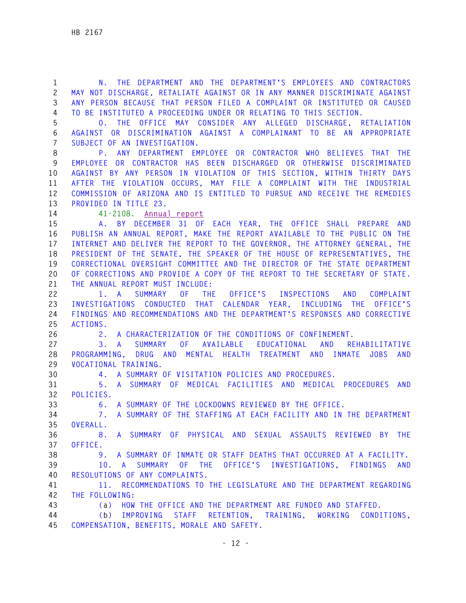**1 N. THE DEPARTMENT AND THE DEPARTMENT'S EMPLOYEES AND CONTRACTORS 2 MAY NOT DISCHARGE, RETALIATE AGAINST OR IN ANY MANNER DISCRIMINATE AGAINST 3 ANY PERSON BECAUSE THAT PERSON FILED A COMPLAINT OR INSTITUTED OR CAUSED 4 TO BE INSTITUTED A PROCEEDING UNDER OR RELATING TO THIS SECTION. 5 O. THE OFFICE MAY CONSIDER ANY ALLEGED DISCHARGE, RETALIATION 6 AGAINST OR DISCRIMINATION AGAINST A COMPLAINANT TO BE AN APPROPRIATE 7 SUBJECT OF AN INVESTIGATION. 8 P. ANY DEPARTMENT EMPLOYEE OR CONTRACTOR WHO BELIEVES THAT THE 9 EMPLOYEE OR CONTRACTOR HAS BEEN DISCHARGED OR OTHERWISE DISCRIMINATED 10 AGAINST BY ANY PERSON IN VIOLATION OF THIS SECTION, WITHIN THIRTY DAYS 11 AFTER THE VIOLATION OCCURS, MAY FILE A COMPLAINT WITH THE INDUSTRIAL 12 COMMISSION OF ARIZONA AND IS ENTITLED TO PURSUE AND RECEIVE THE REMEDIES 13 PROVIDED IN TITLE 23. 14 41-2108. Annual report 15 A. BY DECEMBER 31 OF EACH YEAR, THE OFFICE SHALL PREPARE AND 16 PUBLISH AN ANNUAL REPORT, MAKE THE REPORT AVAILABLE TO THE PUBLIC ON THE 17 INTERNET AND DELIVER THE REPORT TO THE GOVERNOR, THE ATTORNEY GENERAL, THE 18 PRESIDENT OF THE SENATE, THE SPEAKER OF THE HOUSE OF REPRESENTATIVES, THE 19 CORRECTIONAL OVERSIGHT COMMITTEE AND THE DIRECTOR OF THE STATE DEPARTMENT 20 OF CORRECTIONS AND PROVIDE A COPY OF THE REPORT TO THE SECRETARY OF STATE. 21 THE ANNUAL REPORT MUST INCLUDE: 22 1. A SUMMARY OF THE OFFICE'S INSPECTIONS AND COMPLAINT 23 INVESTIGATIONS CONDUCTED THAT CALENDAR YEAR, INCLUDING THE OFFICE'S 24 FINDINGS AND RECOMMENDATIONS AND THE DEPARTMENT'S RESPONSES AND CORRECTIVE 25 ACTIONS. 26 2. A CHARACTERIZATION OF THE CONDITIONS OF CONFINEMENT. 27 3. A SUMMARY OF AVAILABLE EDUCATIONAL AND REHABILITATIVE 28 PROGRAMMING, DRUG AND MENTAL HEALTH TREATMENT AND INMATE JOBS AND 29 VOCATIONAL TRAINING. 30 4. A SUMMARY OF VISITATION POLICIES AND PROCEDURES. 31 5. A SUMMARY OF MEDICAL FACILITIES AND MEDICAL PROCEDURES AND 32 POLICIES. 33 6. A SUMMARY OF THE LOCKDOWNS REVIEWED BY THE OFFICE. 34 7. A SUMMARY OF THE STAFFING AT EACH FACILITY AND IN THE DEPARTMENT 35 OVERALL. 36 8. A SUMMARY OF PHYSICAL AND SEXUAL ASSAULTS REVIEWED BY THE 37 OFFICE. 38 9. A SUMMARY OF INMATE OR STAFF DEATHS THAT OCCURRED AT A FACILITY. 39 10. A SUMMARY OF THE OFFICE'S INVESTIGATIONS, FINDINGS AND 40 RESOLUTIONS OF ANY COMPLAINTS. 41 11. RECOMMENDATIONS TO THE LEGISLATURE AND THE DEPARTMENT REGARDING 42 THE FOLLOWING: 43 (a) HOW THE OFFICE AND THE DEPARTMENT ARE FUNDED AND STAFFED. 44 (b) IMPROVING STAFF RETENTION, TRAINING, WORKING CONDITIONS, 45 COMPENSATION, BENEFITS, MORALE AND SAFETY.**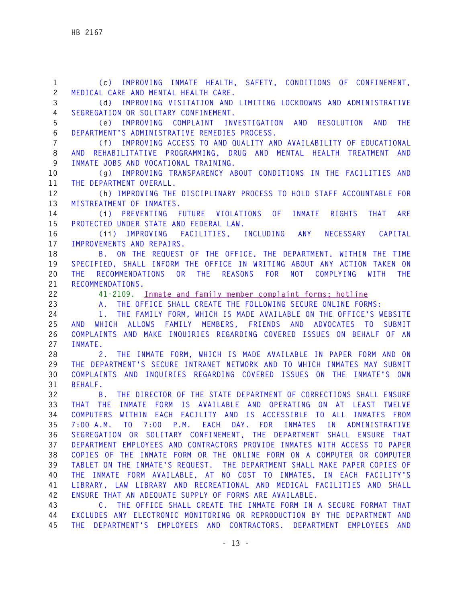**1 (c) IMPROVING INMATE HEALTH, SAFETY, CONDITIONS OF CONFINEMENT, 2 MEDICAL CARE AND MENTAL HEALTH CARE. 3 (d) IMPROVING VISITATION AND LIMITING LOCKDOWNS AND ADMINISTRATIVE 4 SEGREGATION OR SOLITARY CONFINEMENT. 5 (e) IMPROVING COMPLAINT INVESTIGATION AND RESOLUTION AND THE 6 DEPARTMENT'S ADMINISTRATIVE REMEDIES PROCESS. 7 (f) IMPROVING ACCESS TO AND QUALITY AND AVAILABILITY OF EDUCATIONAL 8 AND REHABILITATIVE PROGRAMMING, DRUG AND MENTAL HEALTH TREATMENT AND 9 INMATE JOBS AND VOCATIONAL TRAINING. 10 (g) IMPROVING TRANSPARENCY ABOUT CONDITIONS IN THE FACILITIES AND 11 THE DEPARTMENT OVERALL. 12 (h) IMPROVING THE DISCIPLINARY PROCESS TO HOLD STAFF ACCOUNTABLE FOR 13 MISTREATMENT OF INMATES. 14 (i) PREVENTING FUTURE VIOLATIONS OF INMATE RIGHTS THAT ARE 15 PROTECTED UNDER STATE AND FEDERAL LAW. 16 (ii) IMPROVING FACILITIES, INCLUDING ANY NECESSARY CAPITAL 17 IMPROVEMENTS AND REPAIRS. 18 B. ON THE REQUEST OF THE OFFICE, THE DEPARTMENT, WITHIN THE TIME 19 SPECIFIED, SHALL INFORM THE OFFICE IN WRITING ABOUT ANY ACTION TAKEN ON 20 THE RECOMMENDATIONS OR THE REASONS FOR NOT COMPLYING WITH THE 21 RECOMMENDATIONS. 22 41-2109. Inmate and family member complaint forms; hotline 23 A. THE OFFICE SHALL CREATE THE FOLLOWING SECURE ONLINE FORMS: 24 1. THE FAMILY FORM, WHICH IS MADE AVAILABLE ON THE OFFICE'S WEBSITE 25 AND WHICH ALLOWS FAMILY MEMBERS, FRIENDS AND ADVOCATES TO SUBMIT 26 COMPLAINTS AND MAKE INQUIRIES REGARDING COVERED ISSUES ON BEHALF OF AN 27 INMATE. 28 2. THE INMATE FORM, WHICH IS MADE AVAILABLE IN PAPER FORM AND ON 29 THE DEPARTMENT'S SECURE INTRANET NETWORK AND TO WHICH INMATES MAY SUBMIT 30 COMPLAINTS AND INQUIRIES REGARDING COVERED ISSUES ON THE INMATE'S OWN 31 BEHALF. 32 B. THE DIRECTOR OF THE STATE DEPARTMENT OF CORRECTIONS SHALL ENSURE 33 THAT THE INMATE FORM IS AVAILABLE AND OPERATING ON AT LEAST TWELVE 34 COMPUTERS WITHIN EACH FACILITY AND IS ACCESSIBLE TO ALL INMATES FROM 35 7:00 A.M. TO 7:00 P.M. EACH DAY. FOR INMATES IN ADMINISTRATIVE 36 SEGREGATION OR SOLITARY CONFINEMENT, THE DEPARTMENT SHALL ENSURE THAT 37 DEPARTMENT EMPLOYEES AND CONTRACTORS PROVIDE INMATES WITH ACCESS TO PAPER 38 COPIES OF THE INMATE FORM OR THE ONLINE FORM ON A COMPUTER OR COMPUTER 39 TABLET ON THE INMATE'S REQUEST. THE DEPARTMENT SHALL MAKE PAPER COPIES OF 40 THE INMATE FORM AVAILABLE, AT NO COST TO INMATES, IN EACH FACILITY'S 41 LIBRARY, LAW LIBRARY AND RECREATIONAL AND MEDICAL FACILITIES AND SHALL 42 ENSURE THAT AN ADEQUATE SUPPLY OF FORMS ARE AVAILABLE. 43 C. THE OFFICE SHALL CREATE THE INMATE FORM IN A SECURE FORMAT THAT 44 EXCLUDES ANY ELECTRONIC MONITORING OR REPRODUCTION BY THE DEPARTMENT AND** 

**45 THE DEPARTMENT'S EMPLOYEES AND CONTRACTORS. DEPARTMENT EMPLOYEES AND**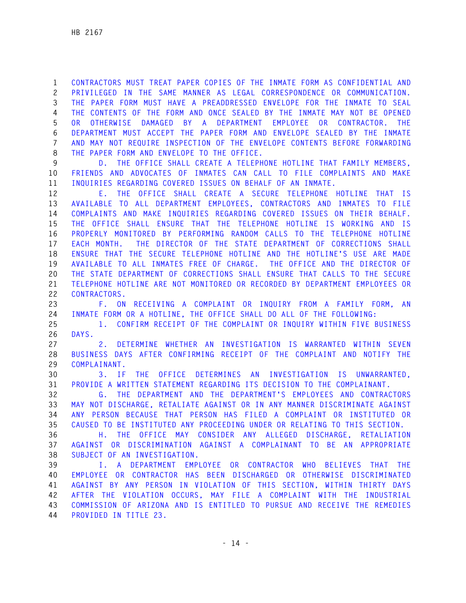**1 CONTRACTORS MUST TREAT PAPER COPIES OF THE INMATE FORM AS CONFIDENTIAL AND 2 PRIVILEGED IN THE SAME MANNER AS LEGAL CORRESPONDENCE OR COMMUNICATION. 3 THE PAPER FORM MUST HAVE A PREADDRESSED ENVELOPE FOR THE INMATE TO SEAL 4 THE CONTENTS OF THE FORM AND ONCE SEALED BY THE INMATE MAY NOT BE OPENED 5 OR OTHERWISE DAMAGED BY A DEPARTMENT EMPLOYEE OR CONTRACTOR. THE 6 DEPARTMENT MUST ACCEPT THE PAPER FORM AND ENVELOPE SEALED BY THE INMATE 7 AND MAY NOT REQUIRE INSPECTION OF THE ENVELOPE CONTENTS BEFORE FORWARDING 8 THE PAPER FORM AND ENVELOPE TO THE OFFICE.** 

**9 D. THE OFFICE SHALL CREATE A TELEPHONE HOTLINE THAT FAMILY MEMBERS, 10 FRIENDS AND ADVOCATES OF INMATES CAN CALL TO FILE COMPLAINTS AND MAKE 11 INQUIRIES REGARDING COVERED ISSUES ON BEHALF OF AN INMATE.** 

**12 E. THE OFFICE SHALL CREATE A SECURE TELEPHONE HOTLINE THAT IS 13 AVAILABLE TO ALL DEPARTMENT EMPLOYEES, CONTRACTORS AND INMATES TO FILE 14 COMPLAINTS AND MAKE INQUIRIES REGARDING COVERED ISSUES ON THEIR BEHALF. 15 THE OFFICE SHALL ENSURE THAT THE TELEPHONE HOTLINE IS WORKING AND IS 16 PROPERLY MONITORED BY PERFORMING RANDOM CALLS TO THE TELEPHONE HOTLINE 17 EACH MONTH. THE DIRECTOR OF THE STATE DEPARTMENT OF CORRECTIONS SHALL 18 ENSURE THAT THE SECURE TELEPHONE HOTLINE AND THE HOTLINE'S USE ARE MADE 19 AVAILABLE TO ALL INMATES FREE OF CHARGE. THE OFFICE AND THE DIRECTOR OF 20 THE STATE DEPARTMENT OF CORRECTIONS SHALL ENSURE THAT CALLS TO THE SECURE 21 TELEPHONE HOTLINE ARE NOT MONITORED OR RECORDED BY DEPARTMENT EMPLOYEES OR 22 CONTRACTORS.** 

**23 F. ON RECEIVING A COMPLAINT OR INQUIRY FROM A FAMILY FORM, AN 24 INMATE FORM OR A HOTLINE, THE OFFICE SHALL DO ALL OF THE FOLLOWING:** 

**25 1. CONFIRM RECEIPT OF THE COMPLAINT OR INQUIRY WITHIN FIVE BUSINESS 26 DAYS.** 

**27 2. DETERMINE WHETHER AN INVESTIGATION IS WARRANTED WITHIN SEVEN 28 BUSINESS DAYS AFTER CONFIRMING RECEIPT OF THE COMPLAINT AND NOTIFY THE 29 COMPLAINANT.** 

**30 3. IF THE OFFICE DETERMINES AN INVESTIGATION IS UNWARRANTED, 31 PROVIDE A WRITTEN STATEMENT REGARDING ITS DECISION TO THE COMPLAINANT.** 

**32 G. THE DEPARTMENT AND THE DEPARTMENT'S EMPLOYEES AND CONTRACTORS 33 MAY NOT DISCHARGE, RETALIATE AGAINST OR IN ANY MANNER DISCRIMINATE AGAINST 34 ANY PERSON BECAUSE THAT PERSON HAS FILED A COMPLAINT OR INSTITUTED OR 35 CAUSED TO BE INSTITUTED ANY PROCEEDING UNDER OR RELATING TO THIS SECTION.** 

**36 H. THE OFFICE MAY CONSIDER ANY ALLEGED DISCHARGE, RETALIATION 37 AGAINST OR DISCRIMINATION AGAINST A COMPLAINANT TO BE AN APPROPRIATE 38 SUBJECT OF AN INVESTIGATION.** 

**39 I. A DEPARTMENT EMPLOYEE OR CONTRACTOR WHO BELIEVES THAT THE 40 EMPLOYEE OR CONTRACTOR HAS BEEN DISCHARGED OR OTHERWISE DISCRIMINATED 41 AGAINST BY ANY PERSON IN VIOLATION OF THIS SECTION, WITHIN THIRTY DAYS 42 AFTER THE VIOLATION OCCURS, MAY FILE A COMPLAINT WITH THE INDUSTRIAL 43 COMMISSION OF ARIZONA AND IS ENTITLED TO PURSUE AND RECEIVE THE REMEDIES 44 PROVIDED IN TITLE 23.**